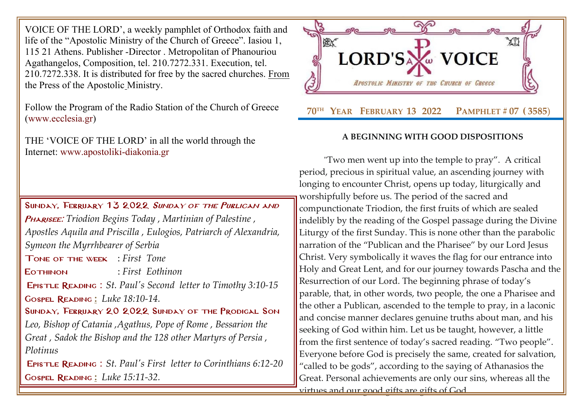VOICE OF THE LORD', a weekly pamphlet of Orthodox faith and life of the "Apostolic Ministry of the Church of Greece". Iasiou 1, 115 21 Athens. Publisher -Director . Metropolitan of Phanouriou Agathangelos, Composition, tel. 210.7272.331. Execution, tel. 210.7272.338. It is distributed for free by the sacred churches. From the Press of the Apostolic Ministry.

Follow the Program of the Radio Station of the Church of Greece [\(www.ecclesia.gr\)](http://www.ecclesia.gr/)

THE 'VOICE OF THE LORD' in all the world through the Internet: [www.apostoliki-diakonia.gr](http://www.apostoliki-diakonia.gr/)

SUNDAY, FEBRUARY 13 2022 SUNDAY OF THE PUBLICAN AND Pharisee: *[Triodion Begins Today](http://www.goarch.org/chapel/saints?contentid=1150&PCode=PUBLICANS&D=S&date=02/13/2022) , [Martinian of Palestine](http://www.goarch.org/chapel/saints?contentid=427) , [Apostles Aquila and Priscilla](http://www.goarch.org/chapel/saints?contentid=530) , Eulogios, Patriarch of Alexandria, [Symeon the Myrrhbearer of Serbia](http://www.goarch.org/chapel/saints?contentid=1978)* Tone of the week : *First Tone* Eothinon : *First Eothinon* Epistle Reading : *[St. Paul's Second letter to](http://www.goarch.org/chapel/lectionary?type=E&code=110&event=291&date=11/14/2021) Timothy [3:10-15](http://www.goarch.org/chapel/lectionary?type=E&code=110&event=291&date=11/14/2021)* Gospel Reading **[:](http://www.goarch.org/chapel/lectionary?type=G&code=362&event=218)** *[Luke 18:10-14.](http://www.goarch.org/chapel/lectionary?type=G&code=402&event=408)* SUNDAY, FEBRUARY 20 2022 SUNDAY OF THE PRODIGAL SON *[Leo, Bishop of Catania](http://www.goarch.org/chapel/saints?contentid=435) ,Agathus, Pope of Rome , Bessarion the Great , Sadok the Bishop and the 128 other Martyrs of Persia , Plotinus* Epistle Reading : *[St. Paul's First](http://www.goarch.org/chapel/lectionary?type=E&code=110&event=291&date=11/14/2021) letter to Corinthians [6:12-20](http://www.goarch.org/chapel/lectionary?type=E&code=110&event=291&date=11/14/2021)*

Gospel Reading **[:](http://www.goarch.org/chapel/lectionary?type=G&code=362&event=218)** *[Luke 15:11-32.](http://www.goarch.org/chapel/lectionary?type=G&code=402&event=408)*



## **A BEGINNING WITH GOOD DISPOSITIONS**

"Two men went up into the temple to pray". A critical period, precious in spiritual value, an ascending journey with longing to encounter Christ, opens up today, liturgically and worshipfully before us. The period of the sacred and compunctionate Triodion, the first fruits of which are sealed indelibly by the reading of the Gospel passage during the Divine Liturgy of the first Sunday. This is none other than the parabolic narration of the "Publican and the Pharisee" by our Lord Jesus Christ. Very symbolically it waves the flag for our entrance into Holy and Great Lent, and for our journey towards Pascha and the Resurrection of our Lord. The beginning phrase of today's parable, that, in other words, two people, the one a Pharisee and the other a Publican, ascended to the temple to pray, in a laconic and concise manner declares genuine truths about man, and his seeking of God within him. Let us be taught, however, a little from the first sentence of today's sacred reading. "Two people". Everyone before God is precisely the same, created for salvation, "called to be gods", according to the saying of Athanasios the Great. Personal achievements are only our sins, whereas all the virtues and our good gifts are gifts of God.